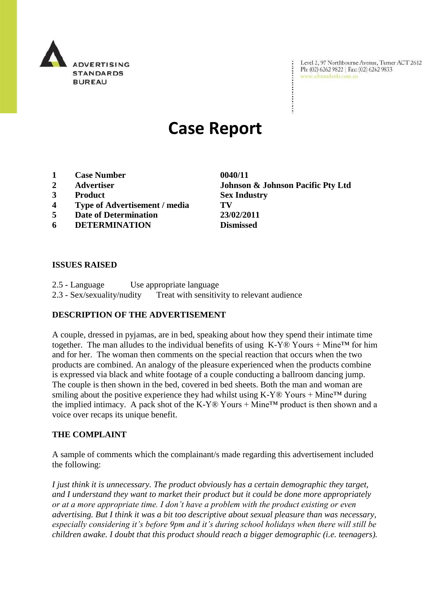

Level 2, 97 Northbourne Avenue, Turner ACT 2612 Ph: (02) 6262 9822 | Fax: (02) 6262 9833 www.adstandards.com.au

# **Case Report**

- **1 Case Number 0040/11**
- 
- **3 Product Sex Industry**
- **4 Type of Advertisement / media TV**
- **5 Date of Determination 23/02/2011**
- **6 DETERMINATION Dismissed**

**2 Advertiser Johnson & Johnson Pacific Pty Ltd**

 $\ddot{\cdot}$ 

### **ISSUES RAISED**

2.5 - Language Use appropriate language 2.3 - Sex/sexuality/nudity Treat with sensitivity to relevant audience

## **DESCRIPTION OF THE ADVERTISEMENT**

A couple, dressed in pyjamas, are in bed, speaking about how they spend their intimate time together. The man alludes to the individual benefits of using  $K-Y\mathbb{Q}$  Yours + Mine<sup>TM</sup> for him and for her. The woman then comments on the special reaction that occurs when the two products are combined. An analogy of the pleasure experienced when the products combine is expressed via black and white footage of a couple conducting a ballroom dancing jump. The couple is then shown in the bed, covered in bed sheets. Both the man and woman are smiling about the positive experience they had whilst using  $K-Y@$  Yours + Mine<sup>TM</sup> during the implied intimacy. A pack shot of the K-Y® Yours + Mine<sup> $TM$ </sup> product is then shown and a voice over recaps its unique benefit.

#### **THE COMPLAINT**

A sample of comments which the complainant/s made regarding this advertisement included the following:

*I just think it is unnecessary. The product obviously has a certain demographic they target, and I understand they want to market their product but it could be done more appropriately or at a more appropriate time. I don"t have a problem with the product existing or even advertising. But I think it was a bit too descriptive about sexual pleasure than was necessary, especially considering it"s before 9pm and it"s during school holidays when there will still be children awake. I doubt that this product should reach a bigger demographic (i.e. teenagers).*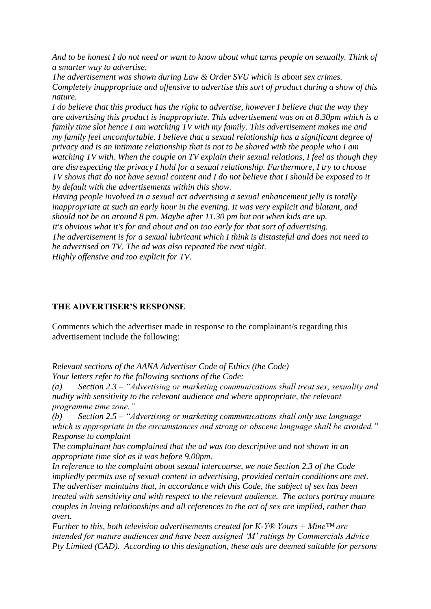*And to be honest I do not need or want to know about what turns people on sexually. Think of a smarter way to advertise.*

*The advertisement was shown during Law & Order SVU which is about sex crimes. Completely inappropriate and offensive to advertise this sort of product during a show of this nature.*

*I do believe that this product has the right to advertise, however I believe that the way they are advertising this product is inappropriate. This advertisement was on at 8.30pm which is a family time slot hence I am watching TV with my family. This advertisement makes me and my family feel uncomfortable. I believe that a sexual relationship has a significant degree of privacy and is an intimate relationship that is not to be shared with the people who I am watching TV with. When the couple on TV explain their sexual relations, I feel as though they are disrespecting the privacy I hold for a sexual relationship. Furthermore, I try to choose TV shows that do not have sexual content and I do not believe that I should be exposed to it by default with the advertisements within this show.* 

*Having people involved in a sexual act advertising a sexual enhancement jelly is totally inappropriate at such an early hour in the evening. It was very explicit and blatant, and should not be on around 8 pm. Maybe after 11.30 pm but not when kids are up. It's obvious what it's for and about and on too early for that sort of advertising.*

*The advertisement is for a sexual lubricant which I think is distasteful and does not need to be advertised on TV. The ad was also repeated the next night.*

*Highly offensive and too explicit for TV.*

## **THE ADVERTISER'S RESPONSE**

Comments which the advertiser made in response to the complainant/s regarding this advertisement include the following:

*Relevant sections of the AANA Advertiser Code of Ethics (the Code)*

*Your letters refer to the following sections of the Code:*

*(a) Section 2.3 – "Advertising or marketing communications shall treat sex, sexuality and nudity with sensitivity to the relevant audience and where appropriate, the relevant programme time zone."*

*(b) Section 2.5 – "Advertising or marketing communications shall only use language which is appropriate in the circumstances and strong or obscene language shall be avoided." Response to complaint*

*The complainant has complained that the ad was too descriptive and not shown in an appropriate time slot as it was before 9.00pm.*

*In reference to the complaint about sexual intercourse, we note Section 2.3 of the Code impliedly permits use of sexual content in advertising, provided certain conditions are met. The advertiser maintains that, in accordance with this Code, the subject of sex has been treated with sensitivity and with respect to the relevant audience. The actors portray mature couples in loving relationships and all references to the act of sex are implied, rather than overt.*

*Further to this, both television advertisements created for K-Y® Yours + Mine™ are intended for mature audiences and have been assigned "M" ratings by Commercials Advice Pty Limited (CAD). According to this designation, these ads are deemed suitable for persons*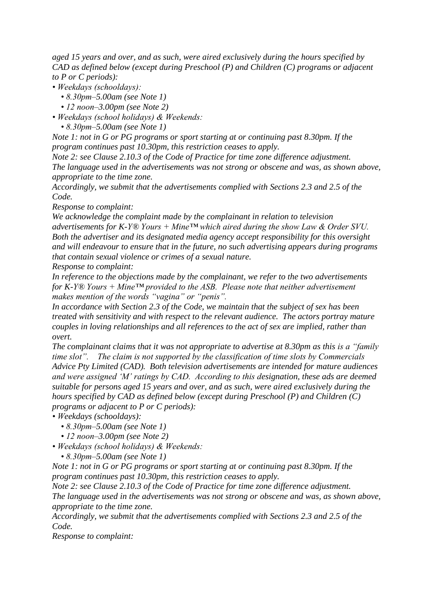*aged 15 years and over, and as such, were aired exclusively during the hours specified by CAD as defined below (except during Preschool (P) and Children (C) programs or adjacent to P or C periods):* 

- *Weekdays (schooldays):* 
	- *8.30pm–5.00am (see Note 1)*
	- *12 noon–3.00pm (see Note 2)*
- *Weekdays (school holidays) & Weekends:* 
	- *8.30pm–5.00am (see Note 1)*

*Note 1: not in G or PG programs or sport starting at or continuing past 8.30pm. If the program continues past 10.30pm, this restriction ceases to apply.* 

*Note 2: see Clause 2.10.3 of the Code of Practice for time zone difference adjustment. The language used in the advertisements was not strong or obscene and was, as shown above, appropriate to the time zone.* 

*Accordingly, we submit that the advertisements complied with Sections 2.3 and 2.5 of the Code.* 

*Response to complaint:*

*We acknowledge the complaint made by the complainant in relation to television advertisements for K-Y® Yours + Mine™ which aired during the show Law & Order SVU. Both the advertiser and its designated media agency accept responsibility for this oversight and will endeavour to ensure that in the future, no such advertising appears during programs that contain sexual violence or crimes of a sexual nature. Response to complaint:*

*In reference to the objections made by the complainant, we refer to the two advertisements for K-Y® Yours + Mine™ provided to the ASB. Please note that neither advertisement makes mention of the words "vagina" or "penis".* 

*In accordance with Section 2.3 of the Code, we maintain that the subject of sex has been treated with sensitivity and with respect to the relevant audience. The actors portray mature couples in loving relationships and all references to the act of sex are implied, rather than overt.*

*The complainant claims that it was not appropriate to advertise at 8.30pm as this is a "family time slot". The claim is not supported by the classification of time slots by Commercials Advice Pty Limited (CAD). Both television advertisements are intended for mature audiences and were assigned "M" ratings by CAD. According to this designation, these ads are deemed suitable for persons aged 15 years and over, and as such, were aired exclusively during the hours specified by CAD as defined below (except during Preschool (P) and Children (C) programs or adjacent to P or C periods):* 

*• Weekdays (schooldays):* 

- *8.30pm–5.00am (see Note 1)*
- *12 noon–3.00pm (see Note 2)*
- *Weekdays (school holidays) & Weekends:* 
	- *8.30pm–5.00am (see Note 1)*

*Note 1: not in G or PG programs or sport starting at or continuing past 8.30pm. If the program continues past 10.30pm, this restriction ceases to apply.* 

*Note 2: see Clause 2.10.3 of the Code of Practice for time zone difference adjustment. The language used in the advertisements was not strong or obscene and was, as shown above, appropriate to the time zone.* 

*Accordingly, we submit that the advertisements complied with Sections 2.3 and 2.5 of the Code.*

*Response to complaint:*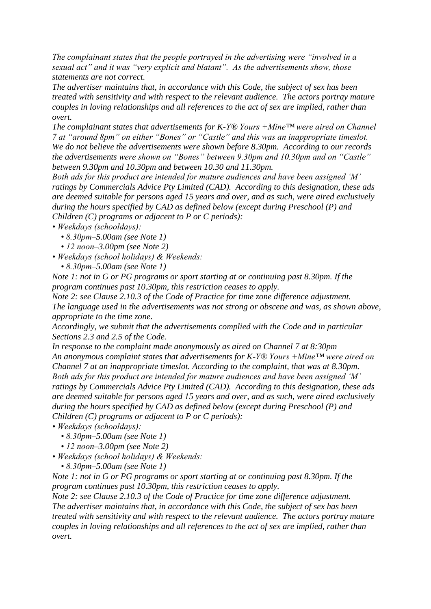*The complainant states that the people portrayed in the advertising were "involved in a sexual act" and it was "very explicit and blatant". As the advertisements show, those statements are not correct.* 

*The advertiser maintains that, in accordance with this Code, the subject of sex has been treated with sensitivity and with respect to the relevant audience. The actors portray mature couples in loving relationships and all references to the act of sex are implied, rather than overt.*

*The complainant states that advertisements for K-Y® Yours +Mine™ were aired on Channel 7 at "around 8pm" on either "Bones" or "Castle" and this was an inappropriate timeslot. We do not believe the advertisements were shown before 8.30pm. According to our records the advertisements were shown on "Bones" between 9.30pm and 10.30pm and on "Castle" between 9.30pm and 10.30pm and between 10.30 and 11.30pm.* 

*Both ads for this product are intended for mature audiences and have been assigned "M" ratings by Commercials Advice Pty Limited (CAD). According to this designation, these ads are deemed suitable for persons aged 15 years and over, and as such, were aired exclusively during the hours specified by CAD as defined below (except during Preschool (P) and Children (C) programs or adjacent to P or C periods):*

*• Weekdays (schooldays):* 

 *• 8.30pm–5.00am (see Note 1)* 

 *• 12 noon–3.00pm (see Note 2)* 

*• Weekdays (school holidays) & Weekends:* 

 *• 8.30pm–5.00am (see Note 1)* 

*Note 1: not in G or PG programs or sport starting at or continuing past 8.30pm. If the program continues past 10.30pm, this restriction ceases to apply.* 

*Note 2: see Clause 2.10.3 of the Code of Practice for time zone difference adjustment. The language used in the advertisements was not strong or obscene and was, as shown above, appropriate to the time zone.* 

*Accordingly, we submit that the advertisements complied with the Code and in particular Sections 2.3 and 2.5 of the Code.* 

*In response to the complaint made anonymously as aired on Channel 7 at 8:30pm An anonymous complaint states that advertisements for K-Y® Yours +Mine™ were aired on Channel 7 at an inappropriate timeslot. According to the complaint, that was at 8.30pm. Both ads for this product are intended for mature audiences and have been assigned "M" ratings by Commercials Advice Pty Limited (CAD). According to this designation, these ads are deemed suitable for persons aged 15 years and over, and as such, were aired exclusively during the hours specified by CAD as defined below (except during Preschool (P) and Children (C) programs or adjacent to P or C periods):*

*• Weekdays (schooldays):* 

- *8.30pm–5.00am (see Note 1)*
- *12 noon–3.00pm (see Note 2)*

*• Weekdays (school holidays) & Weekends:* 

 *• 8.30pm–5.00am (see Note 1)* 

*Note 1: not in G or PG programs or sport starting at or continuing past 8.30pm. If the program continues past 10.30pm, this restriction ceases to apply.* 

*Note 2: see Clause 2.10.3 of the Code of Practice for time zone difference adjustment. The advertiser maintains that, in accordance with this Code, the subject of sex has been treated with sensitivity and with respect to the relevant audience. The actors portray mature couples in loving relationships and all references to the act of sex are implied, rather than overt.*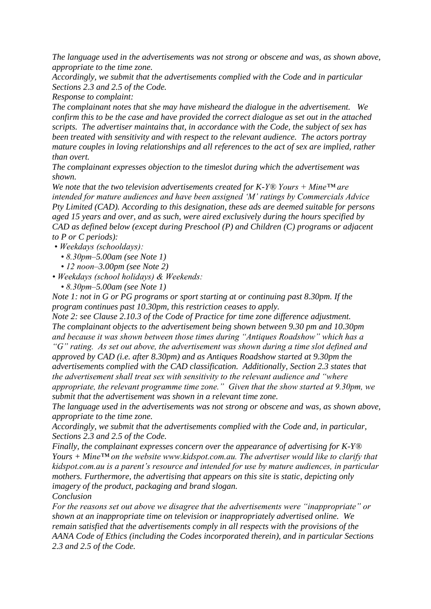*The language used in the advertisements was not strong or obscene and was, as shown above, appropriate to the time zone.* 

*Accordingly, we submit that the advertisements complied with the Code and in particular Sections 2.3 and 2.5 of the Code.* 

*Response to complaint:*

*The complainant notes that she may have misheard the dialogue in the advertisement. We confirm this to be the case and have provided the correct dialogue as set out in the attached scripts. The advertiser maintains that, in accordance with the Code, the subject of sex has been treated with sensitivity and with respect to the relevant audience. The actors portray mature couples in loving relationships and all references to the act of sex are implied, rather than overt.*

*The complainant expresses objection to the timeslot during which the advertisement was shown.*

*We note that the two television advertisements created for K-Y® Yours + Mine™ are intended for mature audiences and have been assigned "M" ratings by Commercials Advice Pty Limited (CAD). According to this designation, these ads are deemed suitable for persons aged 15 years and over, and as such, were aired exclusively during the hours specified by CAD as defined below (except during Preschool (P) and Children (C) programs or adjacent to P or C periods):*

- *Weekdays (schooldays):* 
	- *8.30pm–5.00am (see Note 1)*
	- *12 noon–3.00pm (see Note 2)*

*• Weekdays (school holidays) & Weekends:* 

 *• 8.30pm–5.00am (see Note 1)* 

*Note 1: not in G or PG programs or sport starting at or continuing past 8.30pm. If the program continues past 10.30pm, this restriction ceases to apply.* 

*Note 2: see Clause 2.10.3 of the Code of Practice for time zone difference adjustment. The complainant objects to the advertisement being shown between 9.30 pm and 10.30pm and because it was shown between those times during "Antiques Roadshow" which has a* 

*"G" rating. As set out above, the advertisement was shown during a time slot defined and approved by CAD (i.e. after 8.30pm) and as Antiques Roadshow started at 9.30pm the advertisements complied with the CAD classification. Additionally, Section 2.3 states that the advertisement shall treat sex with sensitivity to the relevant audience and "where appropriate, the relevant programme time zone." Given that the show started at 9.30pm, we submit that the advertisement was shown in a relevant time zone.* 

*The language used in the advertisements was not strong or obscene and was, as shown above, appropriate to the time zone.* 

*Accordingly, we submit that the advertisements complied with the Code and, in particular, Sections 2.3 and 2.5 of the Code.* 

*Finally, the complainant expresses concern over the appearance of advertising for K-Y® Yours + Mine™ on the website www.kidspot.com.au. The advertiser would like to clarify that kidspot.com.au is a parent"s resource and intended for use by mature audiences, in particular mothers. Furthermore, the advertising that appears on this site is static, depicting only imagery of the product, packaging and brand slogan.* 

*Conclusion*

*For the reasons set out above we disagree that the advertisements were "inappropriate" or shown at an inappropriate time on television or inappropriately advertised online. We remain satisfied that the advertisements comply in all respects with the provisions of the AANA Code of Ethics (including the Codes incorporated therein), and in particular Sections 2.3 and 2.5 of the Code.*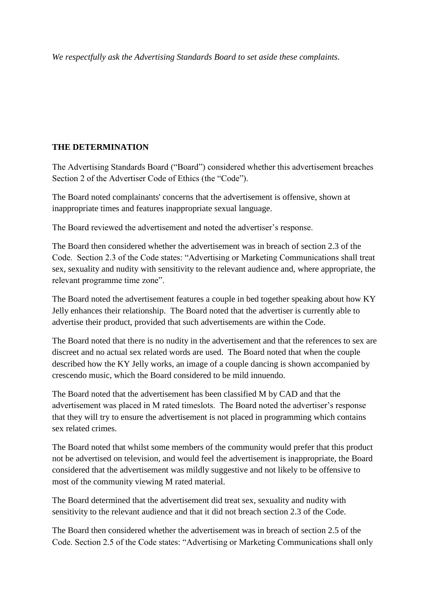*We respectfully ask the Advertising Standards Board to set aside these complaints.*

## **THE DETERMINATION**

The Advertising Standards Board ("Board") considered whether this advertisement breaches Section 2 of the Advertiser Code of Ethics (the "Code").

The Board noted complainants' concerns that the advertisement is offensive, shown at inappropriate times and features inappropriate sexual language.

The Board reviewed the advertisement and noted the advertiser"s response.

The Board then considered whether the advertisement was in breach of section 2.3 of the Code. Section 2.3 of the Code states: "Advertising or Marketing Communications shall treat sex, sexuality and nudity with sensitivity to the relevant audience and, where appropriate, the relevant programme time zone".

The Board noted the advertisement features a couple in bed together speaking about how KY Jelly enhances their relationship. The Board noted that the advertiser is currently able to advertise their product, provided that such advertisements are within the Code.

The Board noted that there is no nudity in the advertisement and that the references to sex are discreet and no actual sex related words are used. The Board noted that when the couple described how the KY Jelly works, an image of a couple dancing is shown accompanied by crescendo music, which the Board considered to be mild innuendo.

The Board noted that the advertisement has been classified M by CAD and that the advertisement was placed in M rated timeslots. The Board noted the advertiser's response that they will try to ensure the advertisement is not placed in programming which contains sex related crimes.

The Board noted that whilst some members of the community would prefer that this product not be advertised on television, and would feel the advertisement is inappropriate, the Board considered that the advertisement was mildly suggestive and not likely to be offensive to most of the community viewing M rated material.

The Board determined that the advertisement did treat sex, sexuality and nudity with sensitivity to the relevant audience and that it did not breach section 2.3 of the Code.

The Board then considered whether the advertisement was in breach of section 2.5 of the Code. Section 2.5 of the Code states: "Advertising or Marketing Communications shall only